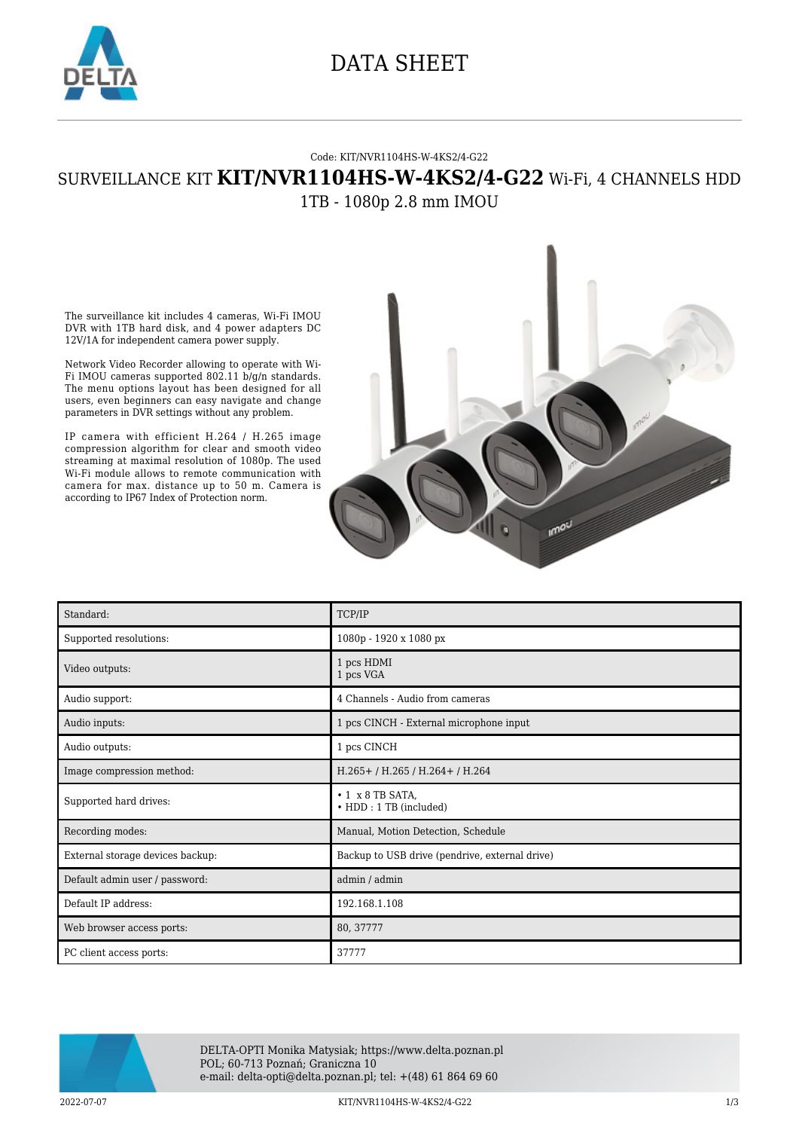

### DATA SHEET

#### Code: KIT/NVR1104HS-W-4KS2/4-G22

### SURVEILLANCE KIT **KIT/NVR1104HS-W-4KS2/4-G22** Wi-Fi, 4 CHANNELS HDD 1TB - 1080p 2.8 mm IMOU

The surveillance kit includes 4 cameras, Wi-Fi IMOU DVR with 1TB hard disk, and 4 power adapters DC 12V/1A for independent camera power supply.

Network Video Recorder allowing to operate with Wi-Fi IMOU cameras supported 802.11 b/g/n standards. The menu options layout has been designed for all users, even beginners can easy navigate and change parameters in DVR settings without any problem.

IP camera with efficient H.264 / H.265 image compression algorithm for clear and smooth video streaming at maximal resolution of 1080p. The used Wi-Fi module allows to remote communication with camera for max. distance up to 50 m. Camera is according to IP67 Index of Protection norm.



| Standard:                        | TCP/IP                                           |
|----------------------------------|--------------------------------------------------|
| Supported resolutions:           | 1080p - 1920 x 1080 px                           |
| Video outputs:                   | 1 pcs HDMI<br>1 pcs VGA                          |
| Audio support:                   | 4 Channels - Audio from cameras                  |
| Audio inputs:                    | 1 pcs CINCH - External microphone input          |
| Audio outputs:                   | 1 pcs CINCH                                      |
| Image compression method:        | H.265+/H.265/H.264+/H.264                        |
| Supported hard drives:           | $\cdot$ 1 x 8 TB SATA,<br>• HDD: 1 TB (included) |
| Recording modes:                 | Manual, Motion Detection, Schedule               |
| External storage devices backup: | Backup to USB drive (pendrive, external drive)   |
| Default admin user / password:   | admin / admin                                    |
| Default IP address:              | 192.168.1.108                                    |
| Web browser access ports:        | 80, 37777                                        |
| PC client access ports:          | 37777                                            |



DELTA-OPTI Monika Matysiak; https://www.delta.poznan.pl POL; 60-713 Poznań; Graniczna 10 e-mail: delta-opti@delta.poznan.pl; tel: +(48) 61 864 69 60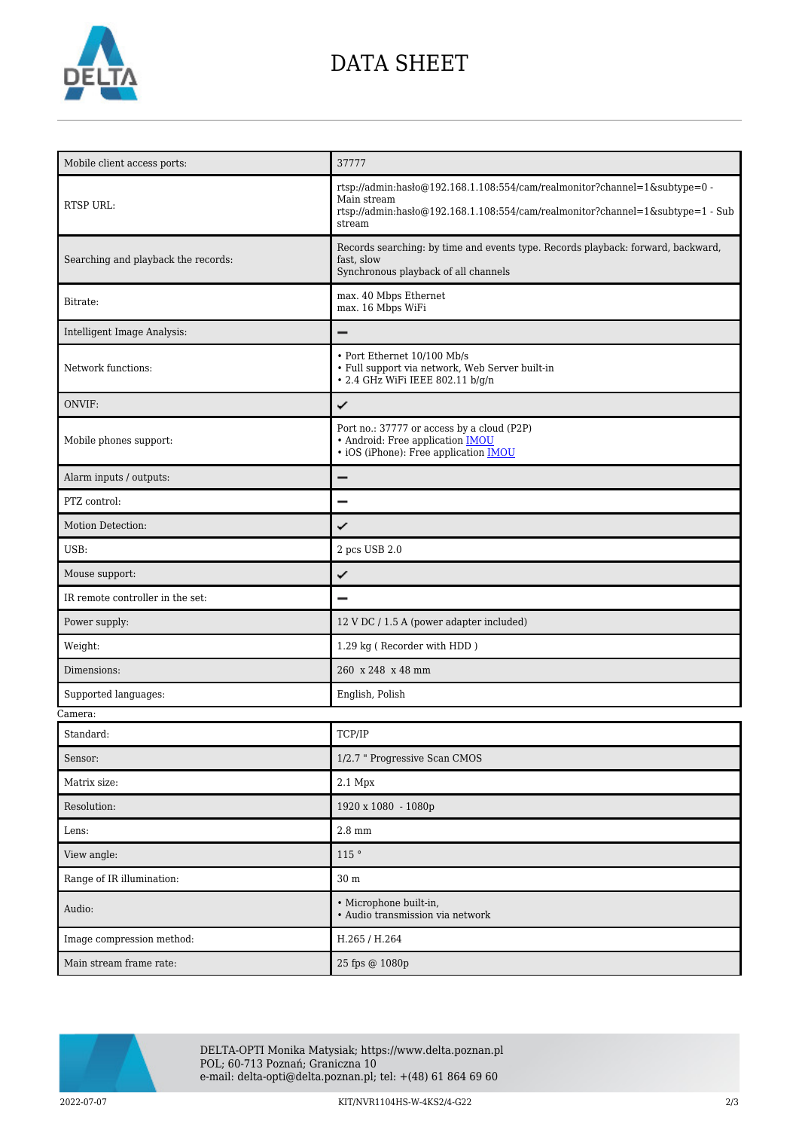

## DATA SHEET

| Mobile client access ports:         | 37777                                                                                                                                                                                 |
|-------------------------------------|---------------------------------------------------------------------------------------------------------------------------------------------------------------------------------------|
| <b>RTSP URL:</b>                    | rtsp://admin:hasło@192.168.1.108:554/cam/realmonitor?channel=1&subtype=0 -<br>Main stream<br>rtsp://admin:hasło@192.168.1.108:554/cam/realmonitor?channel=1&subtype=1 - Sub<br>stream |
| Searching and playback the records: | Records searching: by time and events type. Records playback: forward, backward,<br>fast, slow<br>Synchronous playback of all channels                                                |
| Bitrate:                            | max. 40 Mbps Ethernet<br>max. 16 Mbps WiFi                                                                                                                                            |
| Intelligent Image Analysis:         |                                                                                                                                                                                       |
| Network functions:                  | • Port Ethernet 10/100 Mb/s<br>• Full support via network, Web Server built-in<br>• 2.4 GHz WiFi IEEE 802.11 b/g/n                                                                    |
| ONVIF:                              | ✓                                                                                                                                                                                     |
| Mobile phones support:              | Port no.: 37777 or access by a cloud (P2P)<br>· Android: Free application <b>IMOU</b><br>• iOS (iPhone): Free application <b>IMOU</b>                                                 |
| Alarm inputs / outputs:             |                                                                                                                                                                                       |
| PTZ control:                        |                                                                                                                                                                                       |
| Motion Detection:                   | ✓                                                                                                                                                                                     |
| USB:                                | 2 pcs USB 2.0                                                                                                                                                                         |
|                                     |                                                                                                                                                                                       |
| Mouse support:                      | ✓                                                                                                                                                                                     |
| IR remote controller in the set:    |                                                                                                                                                                                       |
| Power supply:                       | 12 V DC / 1.5 A (power adapter included)                                                                                                                                              |
| Weight:                             | 1.29 kg (Recorder with HDD)                                                                                                                                                           |
| Dimensions:                         | 260 x 248 x 48 mm                                                                                                                                                                     |
| Supported languages:                | English, Polish                                                                                                                                                                       |
|                                     |                                                                                                                                                                                       |
| Standard:                           | TCP/IP                                                                                                                                                                                |
| Camera:<br>Sensor:                  | 1/2.7 " Progressive Scan CMOS                                                                                                                                                         |
| Matrix size:                        | 2.1 Mpx                                                                                                                                                                               |
| Resolution:                         | 1920 x 1080 - 1080p                                                                                                                                                                   |
| Lens:                               | $2.8\;\mathrm{mm}$                                                                                                                                                                    |
| View angle:                         | 115 °                                                                                                                                                                                 |
| Range of IR illumination:           | 30 <sub>m</sub>                                                                                                                                                                       |
| Audio:                              | • Microphone built-in,<br>· Audio transmission via network                                                                                                                            |
| Image compression method:           | H.265 / H.264                                                                                                                                                                         |



DELTA-OPTI Monika Matysiak; https://www.delta.poznan.pl POL; 60-713 Poznań; Graniczna 10 e-mail: delta-opti@delta.poznan.pl; tel: +(48) 61 864 69 60